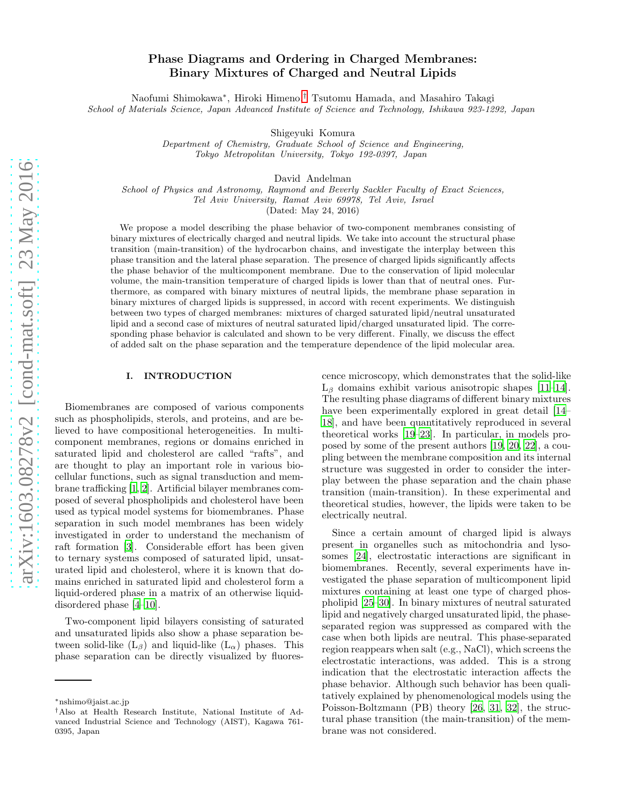# Phase Diagrams and Ordering in Charged Membranes: Binary Mixtures of Charged and Neutral Lipids

Naofumi Shimokawa<sup>∗</sup> , Hiroki Himeno,[†](#page-0-0) Tsutomu Hamada, and Masahiro Takagi School of Materials Science, Japan Advanced Institute of Science and Technology, Ishikawa 923-1292, Japan

Shigeyuki Komura

Department of Chemistry, Graduate School of Science and Engineering, Tokyo Metropolitan University, Tokyo 192-0397, Japan

David Andelman

School of Physics and Astronomy, Raymond and Beverly Sackler Faculty of Exact Sciences, Tel Aviv University, Ramat Aviv 69978, Tel Aviv, Israel

(Dated: May 24, 2016)

We propose a model describing the phase behavior of two-component membranes consisting of binary mixtures of electrically charged and neutral lipids. We take into account the structural phase transition (main-transition) of the hydrocarbon chains, and investigate the interplay between this phase transition and the lateral phase separation. The presence of charged lipids significantly affects the phase behavior of the multicomponent membrane. Due to the conservation of lipid molecular volume, the main-transition temperature of charged lipids is lower than that of neutral ones. Furthermore, as compared with binary mixtures of neutral lipids, the membrane phase separation in binary mixtures of charged lipids is suppressed, in accord with recent experiments. We distinguish between two types of charged membranes: mixtures of charged saturated lipid/neutral unsaturated lipid and a second case of mixtures of neutral saturated lipid/charged unsaturated lipid. The corresponding phase behavior is calculated and shown to be very different. Finally, we discuss the effect of added salt on the phase separation and the temperature dependence of the lipid molecular area.

# <span id="page-0-1"></span>I. INTRODUCTION

Biomembranes are composed of various components such as phospholipids, sterols, and proteins, and are believed to have compositional heterogeneities. In multicomponent membranes, regions or domains enriched in saturated lipid and cholesterol are called "rafts", and are thought to play an important role in various biocellular functions, such as signal transduction and membrane trafficking [\[1,](#page-10-0) [2\]](#page-10-1). Artificial bilayer membranes composed of several phospholipids and cholesterol have been used as typical model systems for biomembranes. Phase separation in such model membranes has been widely investigated in order to understand the mechanism of raft formation [\[3](#page-10-2)]. Considerable effort has been given to ternary systems composed of saturated lipid, unsaturated lipid and cholesterol, where it is known that domains enriched in saturated lipid and cholesterol form a liquid-ordered phase in a matrix of an otherwise liquiddisordered phase [\[4](#page-10-3)[–10\]](#page-10-4).

Two-component lipid bilayers consisting of saturated and unsaturated lipids also show a phase separation between solid-like  $(L_\beta)$  and liquid-like  $(L_\alpha)$  phases. This phase separation can be directly visualized by fluorescence microscopy, which demonstrates that the solid-like  $L_\beta$  domains exhibit various anisotropic shapes [\[11](#page-10-5)[–14\]](#page-10-6). The resulting phase diagrams of different binary mixtures have been experimentally explored in great detail  $[14-$ [18](#page-10-7)], and have been quantitatively reproduced in several theoretical works [\[19](#page-11-0)[–23\]](#page-11-1). In particular, in models proposed by some of the present authors [\[19](#page-11-0), [20,](#page-11-2) [22\]](#page-11-3), a coupling between the membrane composition and its internal structure was suggested in order to consider the interplay between the phase separation and the chain phase transition (main-transition). In these experimental and theoretical studies, however, the lipids were taken to be electrically neutral.

Since a certain amount of charged lipid is always present in organelles such as mitochondria and lysosomes [\[24\]](#page-11-4), electrostatic interactions are significant in biomembranes. Recently, several experiments have investigated the phase separation of multicomponent lipid mixtures containing at least one type of charged phospholipid [\[25](#page-11-5)[–30\]](#page-11-6). In binary mixtures of neutral saturated lipid and negatively charged unsaturated lipid, the phaseseparated region was suppressed as compared with the case when both lipids are neutral. This phase-separated region reappears when salt (e.g., NaCl), which screens the electrostatic interactions, was added. This is a strong indication that the electrostatic interaction affects the phase behavior. Although such behavior has been qualitatively explained by phenomenological models using the Poisson-Boltzmann (PB) theory [\[26](#page-11-7), [31](#page-11-8), [32](#page-11-9)], the structural phase transition (the main-transition) of the membrane was not considered.

<sup>∗</sup>nshimo@jaist.ac.jp

<span id="page-0-0"></span><sup>†</sup>Also at Health Research Institute, National Institute of Advanced Industrial Science and Technology (AIST), Kagawa 761- 0395, Japan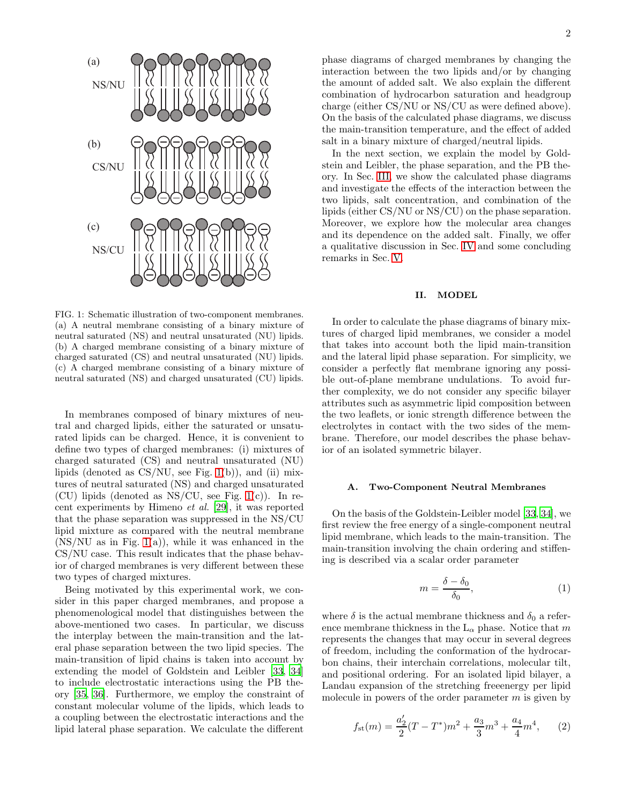

<span id="page-1-0"></span>FIG. 1: Schematic illustration of two-component membranes. (a) A neutral membrane consisting of a binary mixture of neutral saturated (NS) and neutral unsaturated (NU) lipids. (b) A charged membrane consisting of a binary mixture of charged saturated (CS) and neutral unsaturated (NU) lipids. (c) A charged membrane consisting of a binary mixture of neutral saturated (NS) and charged unsaturated (CU) lipids.

In membranes composed of binary mixtures of neutral and charged lipids, either the saturated or unsaturated lipids can be charged. Hence, it is convenient to define two types of charged membranes: (i) mixtures of charged saturated (CS) and neutral unsaturated (NU) lipids (denoted as  $\text{CS}/\text{NU}$ , see Fig. [1\(](#page-1-0)b)), and (ii) mixtures of neutral saturated (NS) and charged unsaturated (CU) lipids (denoted as  $NS/CU$ , see Fig. [1\(](#page-1-0)c)). In recent experiments by Himeno et al. [\[29\]](#page-11-10), it was reported that the phase separation was suppressed in the NS/CU lipid mixture as compared with the neutral membrane  $(NS/NU)$  as in Fig. [1\(](#page-1-0)a)), while it was enhanced in the CS/NU case. This result indicates that the phase behavior of charged membranes is very different between these two types of charged mixtures.

Being motivated by this experimental work, we consider in this paper charged membranes, and propose a phenomenological model that distinguishes between the above-mentioned two cases. In particular, we discuss the interplay between the main-transition and the lateral phase separation between the two lipid species. The main-transition of lipid chains is taken into account by extending the model of Goldstein and Leibler [\[33,](#page-11-11) [34](#page-11-12)] to include electrostatic interactions using the PB theory [\[35,](#page-11-13) [36\]](#page-11-14). Furthermore, we employ the constraint of constant molecular volume of the lipids, which leads to a coupling between the electrostatic interactions and the lipid lateral phase separation. We calculate the different

phase diagrams of charged membranes by changing the interaction between the two lipids and/or by changing the amount of added salt. We also explain the different combination of hydrocarbon saturation and headgroup charge (either CS/NU or NS/CU as were defined above). On the basis of the calculated phase diagrams, we discuss the main-transition temperature, and the effect of added salt in a binary mixture of charged/neutral lipids.

In the next section, we explain the model by Goldstein and Leibler, the phase separation, and the PB theory. In Sec. [III,](#page-4-0) we show the calculated phase diagrams and investigate the effects of the interaction between the two lipids, salt concentration, and combination of the lipids (either CS/NU or NS/CU) on the phase separation. Moreover, we explore how the molecular area changes and its dependence on the added salt. Finally, we offer a qualitative discussion in Sec. [IV](#page-8-0) and some concluding remarks in Sec. [V.](#page-10-8)

# <span id="page-1-3"></span>II. MODEL

In order to calculate the phase diagrams of binary mixtures of charged lipid membranes, we consider a model that takes into account both the lipid main-transition and the lateral lipid phase separation. For simplicity, we consider a perfectly flat membrane ignoring any possible out-of-plane membrane undulations. To avoid further complexity, we do not consider any specific bilayer attributes such as asymmetric lipid composition between the two leaflets, or ionic strength difference between the electrolytes in contact with the two sides of the membrane. Therefore, our model describes the phase behavior of an isolated symmetric bilayer.

#### A. Two-Component Neutral Membranes

On the basis of the Goldstein-Leibler model [\[33,](#page-11-11) [34\]](#page-11-12), we first review the free energy of a single-component neutral lipid membrane, which leads to the main-transition. The main-transition involving the chain ordering and stiffening is described via a scalar order parameter

<span id="page-1-2"></span>
$$
m = \frac{\delta - \delta_0}{\delta_0},\tag{1}
$$

where  $\delta$  is the actual membrane thickness and  $\delta_0$  a reference membrane thickness in the  $L_{\alpha}$  phase. Notice that m represents the changes that may occur in several degrees of freedom, including the conformation of the hydrocarbon chains, their interchain correlations, molecular tilt, and positional ordering. For an isolated lipid bilayer, a Landau expansion of the stretching freeenergy per lipid molecule in powers of the order parameter  $m$  is given by

<span id="page-1-1"></span>
$$
f_{\rm st}(m) = \frac{a_2'}{2}(T - T^*)m^2 + \frac{a_3}{3}m^3 + \frac{a_4}{4}m^4,\qquad(2)
$$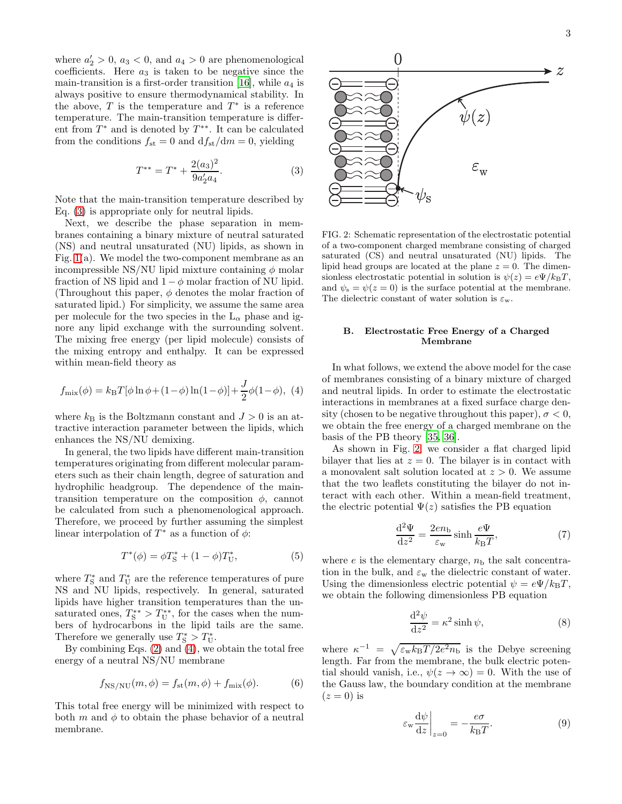where  $a'_2 > 0$ ,  $a_3 < 0$ , and  $a_4 > 0$  are phenomenological coefficients. Here  $a_3$  is taken to be negative since the main-transition is a first-order transition [\[16\]](#page-10-9), while  $a_4$  is always positive to ensure thermodynamical stability. In the above,  $T$  is the temperature and  $T^*$  is a reference temperature. The main-transition temperature is different from  $T^*$  and is denoted by  $T^{**}$ . It can be calculated from the conditions  $f_{st} = 0$  and  $df_{st}/dm = 0$ , yielding

<span id="page-2-0"></span>
$$
T^{**} = T^* + \frac{2(a_3)^2}{9a_2'a_4}.
$$
 (3)

Note that the main-transition temperature described by Eq. [\(3\)](#page-2-0) is appropriate only for neutral lipids.

Next, we describe the phase separation in membranes containing a binary mixture of neutral saturated (NS) and neutral unsaturated (NU) lipids, as shown in Fig. [1\(](#page-1-0)a). We model the two-component membrane as an incompressible NS/NU lipid mixture containing  $\phi$  molar fraction of NS lipid and  $1 - \phi$  molar fraction of NU lipid. (Throughout this paper,  $\phi$  denotes the molar fraction of saturated lipid.) For simplicity, we assume the same area per molecule for the two species in the  $L_{\alpha}$  phase and ignore any lipid exchange with the surrounding solvent. The mixing free energy (per lipid molecule) consists of the mixing entropy and enthalpy. It can be expressed within mean-field theory as

<span id="page-2-1"></span>
$$
f_{\text{mix}}(\phi) = k_{\text{B}} T[\phi \ln \phi + (1 - \phi) \ln(1 - \phi)] + \frac{J}{2} \phi (1 - \phi), \tag{4}
$$

where  $k_B$  is the Boltzmann constant and  $J > 0$  is an attractive interaction parameter between the lipids, which enhances the NS/NU demixing.

In general, the two lipids have different main-transition temperatures originating from different molecular parameters such as their chain length, degree of saturation and hydrophilic headgroup. The dependence of the maintransition temperature on the composition  $\phi$ , cannot be calculated from such a phenomenological approach. Therefore, we proceed by further assuming the simplest linear interpolation of  $T^*$  as a function of  $\phi$ :

$$
T^*(\phi) = \phi T^*_{\mathcal{S}} + (1 - \phi) T^*_{\mathcal{U}},\tag{5}
$$

where  $T^*_{\rm S}$  and  $T^*_{\rm U}$  are the reference temperatures of pure NS and NU lipids, respectively. In general, saturated lipids have higher transition temperatures than the unsaturated ones,  $T_{\rm S}^{**} > T_{\rm U}^{**}$ , for the cases when the numbers of hydrocarbons in the lipid tails are the same. Therefore we generally use  $T_{\rm S}^*>T_{\rm U}^*$ .

By combining Eqs. [\(2\)](#page-1-1) and [\(4\)](#page-2-1), we obtain the total free energy of a neutral NS/NU membrane

<span id="page-2-4"></span>
$$
f_{\rm NS/NU}(m,\phi) = f_{\rm st}(m,\phi) + f_{\rm mix}(\phi). \tag{6}
$$

This total free energy will be minimized with respect to both m and  $\phi$  to obtain the phase behavior of a neutral membrane.



<span id="page-2-2"></span>FIG. 2: Schematic representation of the electrostatic potential of a two-component charged membrane consisting of charged saturated (CS) and neutral unsaturated (NU) lipids. The lipid head groups are located at the plane  $z = 0$ . The dimensionless electrostatic potential in solution is  $\psi(z) = e\Psi/k_BT$ , and  $\psi_s = \psi(z=0)$  is the surface potential at the membrane. The dielectric constant of water solution is  $\varepsilon_{w}$ .

## B. Electrostatic Free Energy of a Charged Membrane

In what follows, we extend the above model for the case of membranes consisting of a binary mixture of charged and neutral lipids. In order to estimate the electrostatic interactions in membranes at a fixed surface charge density (chosen to be negative throughout this paper),  $\sigma < 0$ , we obtain the free energy of a charged membrane on the basis of the PB theory [\[35](#page-11-13), [36](#page-11-14)].

As shown in Fig. [2,](#page-2-2) we consider a flat charged lipid bilayer that lies at  $z = 0$ . The bilayer is in contact with a monovalent salt solution located at  $z > 0$ . We assume that the two leaflets constituting the bilayer do not interact with each other. Within a mean-field treatment, the electric potential  $\Psi(z)$  satisfies the PB equation

$$
\frac{\mathrm{d}^2\Psi}{\mathrm{d}z^2} = \frac{2en_\mathrm{b}}{\varepsilon_\mathrm{w}}\sinh\frac{e\Psi}{k_\mathrm{B}T},\tag{7}
$$

where e is the elementary charge,  $n<sub>b</sub>$  the salt concentration in the bulk, and  $\varepsilon_{w}$  the dielectric constant of water. Using the dimensionless electric potential  $\psi = e\Psi / k_{\rm B}T$ , we obtain the following dimensionless PB equation

<span id="page-2-3"></span>
$$
\frac{\mathrm{d}^2\psi}{\mathrm{d}z^2} = \kappa^2 \sinh\psi,\tag{8}
$$

where  $\kappa^{-1} = \sqrt{\varepsilon_{\rm w} k_{\rm B}T/2e^2 n_{\rm b}}$  is the Debye screening length. Far from the membrane, the bulk electric potential should vanish, i.e.,  $\psi(z \to \infty) = 0$ . With the use of the Gauss law, the boundary condition at the membrane  $(z=0)$  is

$$
\varepsilon_{\rm w} \frac{\mathrm{d}\psi}{\mathrm{d}z}\bigg|_{z=0} = -\frac{e\sigma}{k_{\rm B}T}.\tag{9}
$$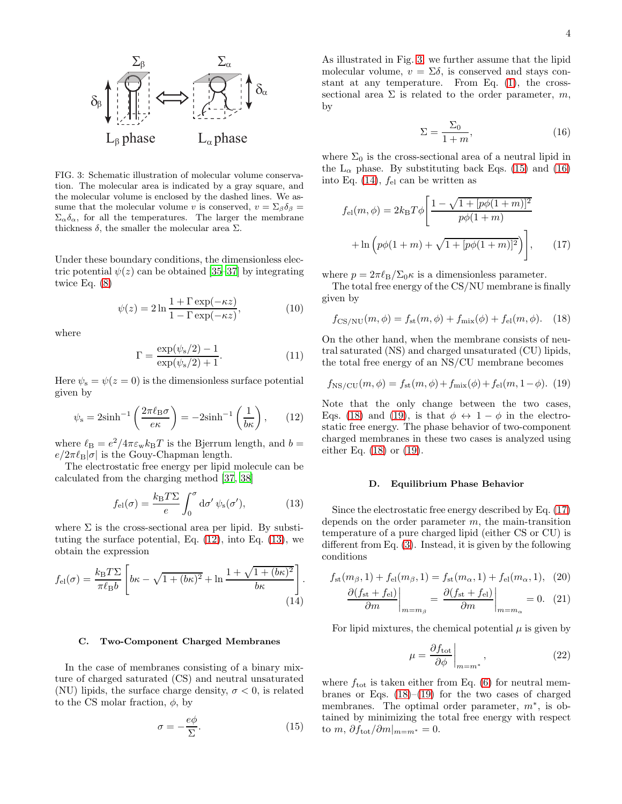

<span id="page-3-2"></span>FIG. 3: Schematic illustration of molecular volume conservation. The molecular area is indicated by a gray square, and the molecular volume is enclosed by the dashed lines. We assume that the molecular volume v is conserved,  $v = \Sigma_{\beta} \delta_{\beta} =$  $\Sigma_{\alpha}\delta_{\alpha}$ , for all the temperatures. The larger the membrane thickness  $\delta$ , the smaller the molecular area  $\Sigma$ .

Under these boundary conditions, the dimensionless electric potential  $\psi(z)$  can be obtained [\[35](#page-11-13)[–37\]](#page-11-15) by integrating twice Eq. [\(8\)](#page-2-3)

$$
\psi(z) = 2\ln\frac{1+\Gamma\exp(-\kappa z)}{1-\Gamma\exp(-\kappa z)},\tag{10}
$$

where

$$
\Gamma = \frac{\exp(\psi_s/2) - 1}{\exp(\psi_s/2) + 1}.
$$
\n(11)

Here  $\psi_s = \psi(z=0)$  is the dimensionless surface potential given by

<span id="page-3-0"></span>
$$
\psi_{\rm s} = 2\sinh^{-1}\left(\frac{2\pi\ell_{\rm B}\sigma}{e\kappa}\right) = -2\sinh^{-1}\left(\frac{1}{b\kappa}\right),\qquad(12)
$$

where  $\ell_{\rm B} = e^2/4\pi\varepsilon_{\rm w} k_{\rm B}T$  is the Bjerrum length, and  $b =$  $e/2\pi\ell_B|\sigma|$  is the Gouy-Chapman length.

The electrostatic free energy per lipid molecule can be calculated from the charging method [\[37,](#page-11-15) [38\]](#page-11-16)

<span id="page-3-1"></span>
$$
f_{\rm el}(\sigma) = \frac{k_{\rm B}T\Sigma}{e} \int_0^{\sigma} d\sigma' \psi_{\rm s}(\sigma'),\tag{13}
$$

where  $\Sigma$  is the cross-sectional area per lipid. By substituting the surface potential, Eq.  $(12)$ , into Eq.  $(13)$ , we obtain the expression

$$
f_{\rm el}(\sigma) = \frac{k_{\rm B}T\Sigma}{\pi\ell_{\rm B}b} \left[ b\kappa - \sqrt{1 + (b\kappa)^2} + \ln \frac{1 + \sqrt{1 + (b\kappa)^2}}{b\kappa} \right].
$$
\n(14)

#### C. Two-Component Charged Membranes

In the case of membranes consisting of a binary mixture of charged saturated (CS) and neutral unsaturated (NU) lipids, the surface charge density,  $\sigma < 0$ , is related to the CS molar fraction,  $\phi$ , by

<span id="page-3-3"></span>
$$
\sigma = -\frac{e\phi}{\Sigma}.\tag{15}
$$

As illustrated in Fig. [3,](#page-3-2) we further assume that the lipid molecular volume,  $v = \Sigma \delta$ , is conserved and stays constant at any temperature. From Eq. [\(1\)](#page-1-2), the crosssectional area  $\Sigma$  is related to the order parameter, m, by

<span id="page-3-8"></span><span id="page-3-4"></span>
$$
\Sigma = \frac{\Sigma_0}{1+m},\tag{16}
$$

where  $\Sigma_0$  is the cross-sectional area of a neutral lipid in the  $L_{\alpha}$  phase. By substituting back Eqs. [\(15\)](#page-3-3) and [\(16\)](#page-3-4) into Eq.  $(14)$ ,  $f_{el}$  can be written as

$$
f_{\rm el}(m,\phi) = 2k_{\rm B}T\phi \left[ \frac{1 - \sqrt{1 + [p\phi(1+m)]^2}}{p\phi(1+m)} + \ln \left( p\phi(1+m) + \sqrt{1 + [p\phi(1+m)]^2} \right) \right],\qquad(17)
$$

where  $p = 2\pi \ell_{\rm B}/\Sigma_0 \kappa$  is a dimensionless parameter.

The total free energy of the CS/NU membrane is finally given by

<span id="page-3-6"></span>
$$
f_{\rm CS/NU}(m,\phi) = f_{\rm st}(m,\phi) + f_{\rm mix}(\phi) + f_{\rm el}(m,\phi). \quad (18)
$$

On the other hand, when the membrane consists of neutral saturated (NS) and charged unsaturated (CU) lipids, the total free energy of an NS/CU membrane becomes

<span id="page-3-7"></span>
$$
f_{\rm NS/CU}(m,\phi) = f_{\rm st}(m,\phi) + f_{\rm mix}(\phi) + f_{\rm el}(m,1-\phi). \tag{19}
$$

Note that the only change between the two cases, Eqs. [\(18\)](#page-3-6) and [\(19\)](#page-3-7), is that  $\phi \leftrightarrow 1 - \phi$  in the electrostatic free energy. The phase behavior of two-component charged membranes in these two cases is analyzed using either Eq. [\(18\)](#page-3-6) or [\(19\)](#page-3-7).

### D. Equilibrium Phase Behavior

Since the electrostatic free energy described by Eq. [\(17\)](#page-3-8) depends on the order parameter  $m$ , the main-transition temperature of a pure charged lipid (either CS or CU) is different from Eq. [\(3\)](#page-2-0). Instead, it is given by the following conditions

<span id="page-3-5"></span>
$$
f_{\rm st}(m_{\beta}, 1) + f_{\rm el}(m_{\beta}, 1) = f_{\rm st}(m_{\alpha}, 1) + f_{\rm el}(m_{\alpha}, 1), \tag{20}
$$

$$
\frac{\partial (f_{\rm st} + f_{\rm el})}{\partial m}\bigg|_{m=m_{\beta}} = \frac{\partial (f_{\rm st} + f_{\rm el})}{\partial m}\bigg|_{m=m_{\alpha}} = 0. \tag{21}
$$

For lipid mixtures, the chemical potential  $\mu$  is given by

<span id="page-3-10"></span><span id="page-3-9"></span>
$$
\mu = \frac{\partial f_{\text{tot}}}{\partial \phi}\bigg|_{m=m^*},\tag{22}
$$

where  $f_{\text{tot}}$  is taken either from Eq. [\(6\)](#page-2-4) for neutral membranes or Eqs.  $(18)$ – $(19)$  for the two cases of charged membranes. The optimal order parameter,  $m^*$ , is obtained by minimizing the total free energy with respect to m,  $\partial f_{\text{tot}}/\partial m|_{m=m^*} = 0$ .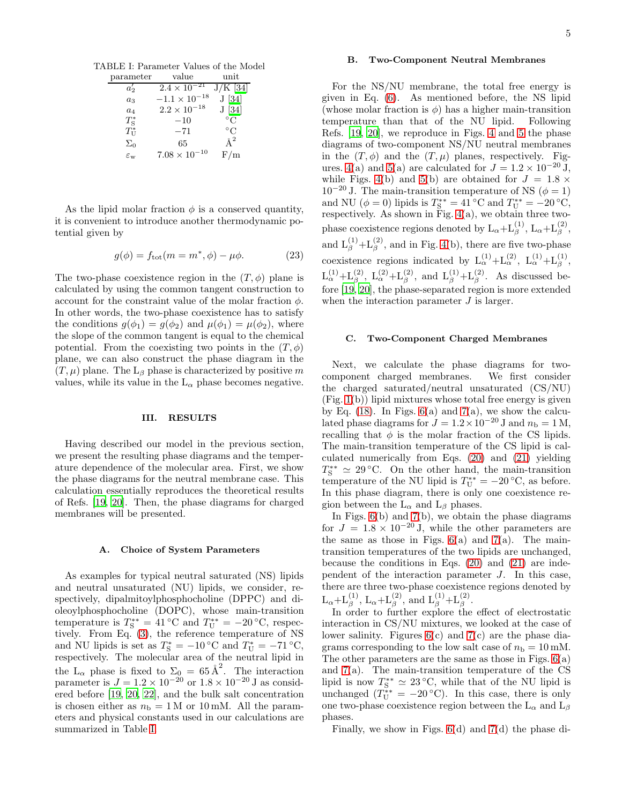TABLE I: Parameter Values of the Model

<span id="page-4-1"></span>

| parameter             | value                  | $_{\rm unit}$ |
|-----------------------|------------------------|---------------|
| $a'_2$                | $2.4 \times 10^{-21}$  | $J/K$ [34]    |
| $a_3$                 | $-1.1 \times 10^{-18}$ | J [34]        |
| $a_4$                 | $2.2 \times 10^{-18}$  | J[34]         |
| $T_{\rm S}^*$         | $-10$                  | $^{\circ}C$   |
| $T^*_{\rm U}$         | $-71$                  | $^{\circ}$ C  |
| $\Sigma_0$            | 65                     | $\AA^2$       |
| $\varepsilon_{\rm w}$ | $7.08 \times 10^{-10}$ | F/m           |

As the lipid molar fraction  $\phi$  is a conserved quantity, it is convenient to introduce another thermodynamic potential given by

$$
g(\phi) = f_{\text{tot}}(m = m^*, \phi) - \mu \phi.
$$
 (23)

The two-phase coexistence region in the  $(T, \phi)$  plane is calculated by using the common tangent construction to account for the constraint value of the molar fraction  $\phi$ . In other words, the two-phase coexistence has to satisfy the conditions  $g(\phi_1) = g(\phi_2)$  and  $\mu(\phi_1) = \mu(\phi_2)$ , where the slope of the common tangent is equal to the chemical potential. From the coexisting two points in the  $(T, \phi)$ plane, we can also construct the phase diagram in the  $(T, \mu)$  plane. The L<sub>β</sub> phase is characterized by positive m values, while its value in the  $L_{\alpha}$  phase becomes negative.

### <span id="page-4-0"></span>III. RESULTS

Having described our model in the previous section, we present the resulting phase diagrams and the temperature dependence of the molecular area. First, we show the phase diagrams for the neutral membrane case. This calculation essentially reproduces the theoretical results of Refs. [\[19,](#page-11-0) [20](#page-11-2)]. Then, the phase diagrams for charged membranes will be presented.

#### A. Choice of System Parameters

As examples for typical neutral saturated (NS) lipids and neutral unsaturated (NU) lipids, we consider, respectively, dipalmitoylphosphocholine (DPPC) and dioleoylphosphocholine (DOPC), whose main-transition temperature is  $T_S^{**} = 41 \text{ °C}$  and  $T_U^{**} = -20 \text{ °C}$ , respectively. From Eq. [\(3\)](#page-2-0), the reference temperature of NS and NU lipids is set as  $T_s^* = -10$  °C and  $T_U^* = -71$  °C, respectively. The molecular area of the neutral lipid in the  $L_{\alpha}$  phase is fixed to  $\Sigma_0 = 65 \text{\AA}^2$ . The interaction parameter is  $J = 1.2 \times 10^{-20}$  or  $1.8 \times 10^{-20}$  J as considered before [\[19,](#page-11-0) [20](#page-11-2), [22\]](#page-11-3), and the bulk salt concentration is chosen either as  $n<sub>b</sub> = 1 M$  or 10 mM. All the parameters and physical constants used in our calculations are summarized in Table [I.](#page-4-1)

### B. Two-Component Neutral Membranes

For the NS/NU membrane, the total free energy is given in Eq. [\(6\)](#page-2-4). As mentioned before, the NS lipid (whose molar fraction is  $\phi$ ) has a higher main-transition temperature than that of the NU lipid. Following Refs. [\[19](#page-11-0), [20](#page-11-2)], we reproduce in Figs. [4](#page-5-0) and [5](#page-5-1) the phase diagrams of two-component NS/NU neutral membranes in the  $(T, \phi)$  and the  $(T, \mu)$  planes, respectively. Fig-ures. [4\(](#page-5-0)a) and [5\(](#page-5-1)a) are calculated for  $J = 1.2 \times 10^{-20}$  J, while Figs. [4\(](#page-5-0)b) and [5\(](#page-5-1)b) are obtained for  $J = 1.8 \times$  $10^{-20}$  J. The main-transition temperature of NS ( $\phi = 1$ ) and NU ( $\phi = 0$ ) lipids is  $T_S^{**} = 41$  °C and  $T_U^{**} = -20$  °C, respectively. As shown in Fig.  $4(a)$ , we obtain three twophase coexistence regions denoted by  $L_{\alpha}+L_{\beta}^{(1)}$ ,  $L_{\alpha}+L_{\beta}^{(2)}$ , and  $L_{\beta}^{(1)}+L_{\beta}^{(2)}$ , and in Fig. [4\(](#page-5-0)b), there are five two-phase coexistence regions indicated by  $L_{\alpha}^{(1)} + L_{\alpha}^{(2)}$ ,  $L_{\alpha}^{(1)} + L_{\beta}^{(1)}$ ,  $L_{\alpha}^{(1)}+L_{\beta}^{(2)}$ ,  $L_{\alpha}^{(2)}+L_{\beta}^{(2)}$ , and  $L_{\beta}^{(1)}+L_{\beta}^{(2)}$ . As discussed before [\[19,](#page-11-0) [20\]](#page-11-2), the phase-separated region is more extended when the interaction parameter  $J$  is larger.

### C. Two-Component Charged Membranes

Next, we calculate the phase diagrams for twocomponent charged membranes. We first consider the charged saturated/neutral unsaturated (CS/NU) (Fig. [1\(](#page-1-0)b)) lipid mixtures whose total free energy is given by Eq.  $(18)$ . In Figs.  $6(a)$  and  $7(a)$ , we show the calculated phase diagrams for  $J = 1.2 \times 10^{-20}$  J and  $n_{\rm b} = 1$  M, recalling that  $\phi$  is the molar fraction of the CS lipids. The main-transition temperature of the CS lipid is calculated numerically from Eqs. [\(20\)](#page-3-9) and [\(21\)](#page-3-10) yielding  $T_{\rm S}^{**} \simeq 29$  °C. On the other hand, the main-transition temperature of the NU lipid is  $T_{\text{U}}^{**} = -20$  °C, as before. In this phase diagram, there is only one coexistence region between the  $L_{\alpha}$  and  $L_{\beta}$  phases.

In Figs.  $6(b)$  and  $7(b)$ , we obtain the phase diagrams for  $J = 1.8 \times 10^{-20}$  J, while the other parameters are the same as those in Figs.  $6(a)$  and  $7(a)$ . The maintransition temperatures of the two lipids are unchanged, because the conditions in Eqs. [\(20\)](#page-3-9) and [\(21\)](#page-3-10) are independent of the interaction parameter J. In this case, there are three two-phase coexistence regions denoted by  $L_{\alpha}+L_{\beta}^{(1)}$ ,  $L_{\alpha}+L_{\beta}^{(2)}$ , and  $L_{\beta}^{(1)}+L_{\beta}^{(2)}$ .

In order to further explore the effect of electrostatic interaction in CS/NU mixtures, we looked at the case of lower salinity. Figures  $6(c)$  and  $7(c)$  are the phase diagrams corresponding to the low salt case of  $n<sub>b</sub> = 10$  mM. The other parameters are the same as those in Figs. [6\(](#page-6-0)a) and  $7(a)$ . The main-transition temperature of the CS lipid is now  $T_s^{**} \simeq 23^{\circ}\text{C}$ , while that of the NU lipid is unchanged  $(T_{\text{U}}^{**} = -20 \degree \text{C})$ . In this case, there is only one two-phase coexistence region between the  $L_{\alpha}$  and  $L_{\beta}$ phases.

Finally, we show in Figs. [6\(](#page-6-0)d) and [7\(](#page-7-0)d) the phase di-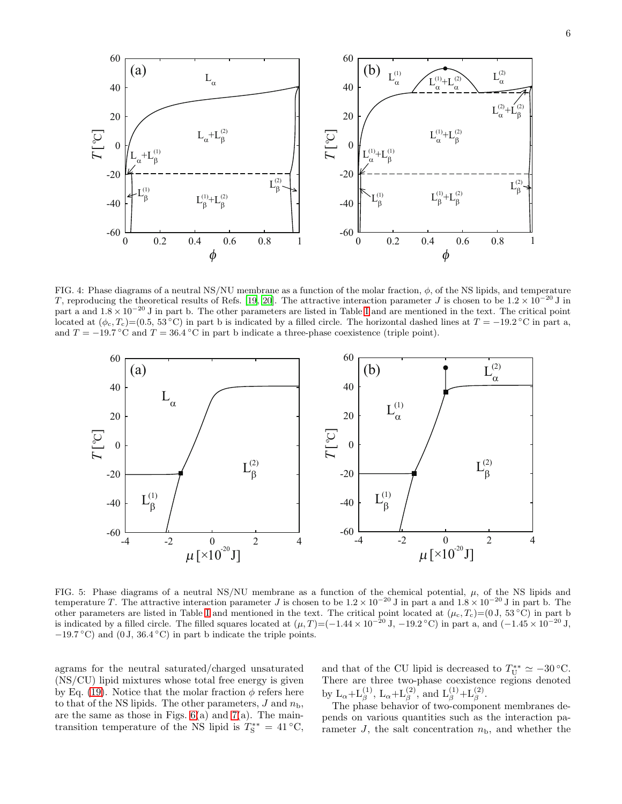

<span id="page-5-0"></span>FIG. 4: Phase diagrams of a neutral NS/NU membrane as a function of the molar fraction,  $\phi$ , of the NS lipids, and temperature T, reproducing the theoretical results of Refs. [\[19,](#page-11-0) [20\]](#page-11-2). The attractive interaction parameter J is chosen to be  $1.2 \times 10^{-20}$  J in part a and  $1.8 \times 10^{-20}$  J in part b. The other parameters are listed in Table [I](#page-4-1) and are mentioned in the text. The critical point located at  $(\phi_c, T_c) = (0.5, 53 \text{°C})$  in part b is indicated by a filled circle. The horizontal dashed lines at  $T = -19.2 \text{°C}$  in part a, and  $T = -19.7 \degree$ C and  $T = 36.4 \degree$ C in part b indicate a three-phase coexistence (triple point).



<span id="page-5-1"></span>FIG. 5: Phase diagrams of a neutral NS/NU membrane as a function of the chemical potential,  $\mu$ , of the NS lipids and temperature T. The attractive interaction parameter J is chosen to be  $1.2 \times 10^{-20}$  J in part a and  $1.8 \times 10^{-20}$  J in part b. The other parameters are listed in Table [I](#page-4-1) and mentioned in the text. The critical point located at  $(\mu_c, T_c)=(0 \text{ J}, 53 \text{ °C})$  in part b is indicated by a filled circle. The filled squares located at  $(\mu, T) = (-1.44 \times 10^{-20} \text{ J}, -19.2 \degree \text{C})$  in part a, and  $(-1.45 \times 10^{-20} \text{ J},$  $-19.7\text{ °C}$ ) and (0 J, 36.4 °C) in part b indicate the triple points.

agrams for the neutral saturated/charged unsaturated (NS/CU) lipid mixtures whose total free energy is given by Eq. [\(19\)](#page-3-7). Notice that the molar fraction  $\phi$  refers here to that of the NS lipids. The other parameters,  $J$  and  $n_{\rm b}$ , are the same as those in Figs.  $6(a)$  and  $7(a)$ . The maintransition temperature of the NS lipid is  $T_s^{**} = 41 °C$ , and that of the CU lipid is decreased to  $T_{\text{U}}^{**} \simeq -30$  °C. There are three two-phase coexistence regions denoted by  $L_{\alpha}+L_{\beta}^{(1)}$ ,  $L_{\alpha}+L_{\beta}^{(2)}$ , and  $L_{\beta}^{(1)}+L_{\beta}^{(2)}$ .

The phase behavior of two-component membranes depends on various quantities such as the interaction parameter  $J$ , the salt concentration  $n<sub>b</sub>$ , and whether the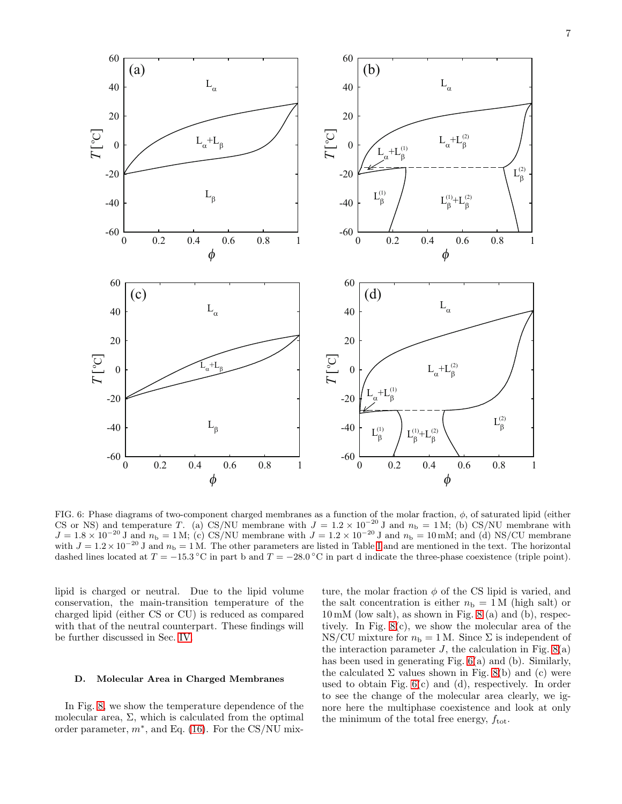7



<span id="page-6-0"></span>FIG. 6: Phase diagrams of two-component charged membranes as a function of the molar fraction,  $\phi$ , of saturated lipid (either CS or NS) and temperature T. (a) CS/NU membrane with  $J = 1.2 \times 10^{-20}$  J and  $n_b = 1$  M; (b) CS/NU membrane with  $J = 1.8 \times 10^{-20}$  J and  $n_b = 1$  M; (c) CS/NU membrane with  $J = 1.2 \times 10^{-20}$  J and  $n_b = 10$  mM; and (d) NS/CU membrane with  $J = 1.2 \times 10^{-20}$  J and  $n_b = 1$  M. The other parameters are listed in Table [I](#page-4-1) and are mentioned in the text. The horizontal dashed lines located at  $T = -15.3 \text{ °C}$  in part b and  $T = -28.0 \text{ °C}$  in part d indicate the three-phase coexistence (triple point).

lipid is charged or neutral. Due to the lipid volume conservation, the main-transition temperature of the charged lipid (either CS or CU) is reduced as compared with that of the neutral counterpart. These findings will be further discussed in Sec. [IV.](#page-8-0)

# D. Molecular Area in Charged Membranes

In Fig. [8,](#page-8-1) we show the temperature dependence of the molecular area,  $\Sigma$ , which is calculated from the optimal order parameter,  $m^*$ , and Eq. [\(16\)](#page-3-4). For the CS/NU mix-

ture, the molar fraction  $\phi$  of the CS lipid is varied, and the salt concentration is either  $n<sub>b</sub> = 1 M$  (high salt) or 10 mM (low salt), as shown in Fig. [8](#page-8-1) (a) and (b), respectively. In Fig. [8\(](#page-8-1)c), we show the molecular area of the NS/CU mixture for  $n_{\rm b} = 1$  M. Since  $\Sigma$  is independent of the interaction parameter  $J$ , the calculation in Fig.  $8(a)$ has been used in generating Fig. [6\(](#page-6-0)a) and (b). Similarly, the calculated  $\Sigma$  values shown in Fig. [8\(](#page-8-1)b) and (c) were used to obtain Fig. [6\(](#page-6-0)c) and (d), respectively. In order to see the change of the molecular area clearly, we ignore here the multiphase coexistence and look at only the minimum of the total free energy,  $f_{\text{tot}}$ .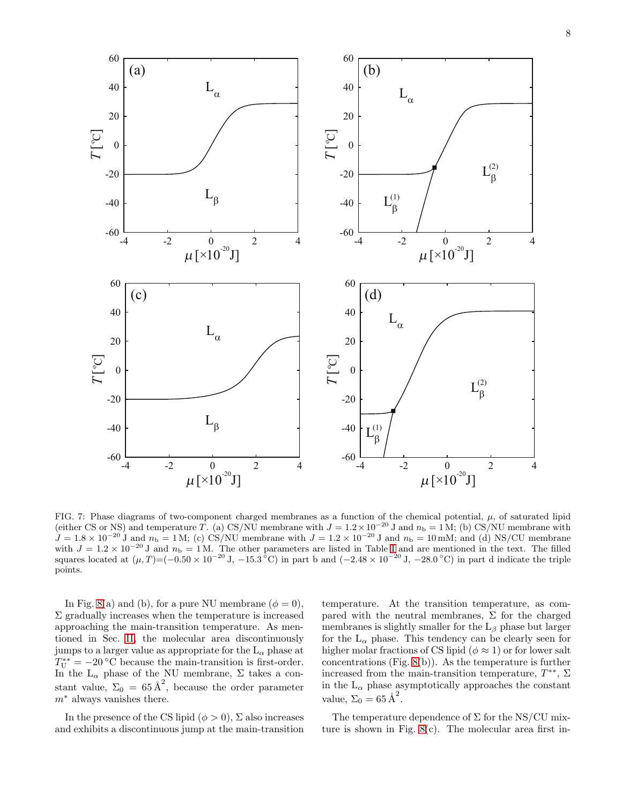

<span id="page-7-0"></span>FIG. 7: Phase diagrams of two-component charged membranes as a function of the chemical potential,  $\mu$ , of saturated lipid (either CS or NS) and temperature T. (a) CS/NU membrane with  $J = 1.2 \times 10^{-20}$  J and  $n_b = 1$  M; (b) CS/NU membrane with  $J = 1.8 \times 10^{-20}$  J and  $n_b = 1$  M; (c) CS/NU membrane with  $J = 1.2 \times 10^{-20}$  J and  $n_b = 10$  mM; and (d) NS/CU membrane with  $J = 1.2 \times 10^{-20}$  J and  $n_b = 1$  M. The other parameters are listed in Table [I](#page-4-1) and are mentioned in the text. The filled squares located at  $(\mu, T) = (-0.50 \times 10^{-20} \text{ J}, -15.3^{\circ}\text{C})$  in part b and  $(-2.48 \times 10^{-20} \text{ J}, -28.0^{\circ}\text{C})$  in part d indicate the triple points.

In Fig. [8\(](#page-8-1)a) and (b), for a pure NU membrane ( $\phi = 0$ ),  $\Sigma$  gradually increases when the temperature is increased approaching the main-transition temperature. As mentioned in Sec. [II,](#page-1-3) the molecular area discontinuously jumps to a larger value as appropriate for the  $L_{\alpha}$  phase at  $T_{\text{U}}^{**} = -20$  °C because the main-transition is first-order. In the  $L_{\alpha}$  phase of the NU membrane,  $\Sigma$  takes a constant value,  $\Sigma_0 = 65 \text{ Å}^2$ , because the order parameter  $m^*$  always vanishes there.

In the presence of the CS lipid  $(\phi > 0)$ ,  $\Sigma$  also increases and exhibits a discontinuous jump at the main-transition

temperature. At the transition temperature, as compared with the neutral membranes,  $\Sigma$  for the charged membranes is slightly smaller for the  $L_\beta$  phase but larger for the  $L_{\alpha}$  phase. This tendency can be clearly seen for higher molar fractions of CS lipid ( $\phi \approx 1$ ) or for lower salt concentrations (Fig. [8\(](#page-8-1)b)). As the temperature is further increased from the main-transition temperature,  $T^{**}$ ,  $\Sigma$ in the  $L_{\alpha}$  phase asymptotically approaches the constant value,  $\Sigma_0 = 65 \text{ Å}^2$ .

The temperature dependence of  $\Sigma$  for the NS/CU mixture is shown in Fig. [8\(](#page-8-1)c). The molecular area first in-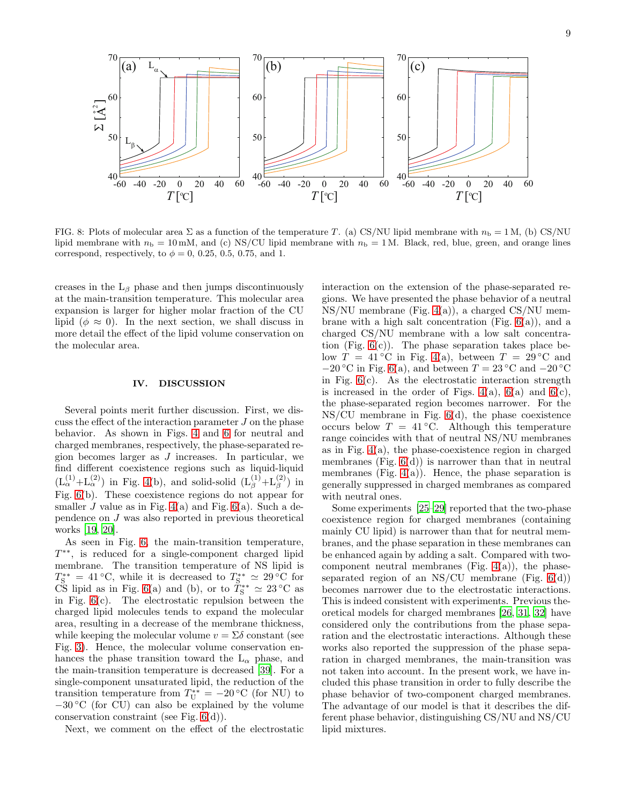

<span id="page-8-1"></span>FIG. 8: Plots of molecular area  $\Sigma$  as a function of the temperature T. (a) CS/NU lipid membrane with  $n_{\rm b} = 1$  M, (b) CS/NU lipid membrane with  $n_b = 10$  mM, and (c) NS/CU lipid membrane with  $n_b = 1$  M. Black, red, blue, green, and orange lines correspond, respectively, to  $\phi = 0$ , 0.25, 0.5, 0.75, and 1.

creases in the  $L_\beta$  phase and then jumps discontinuously at the main-transition temperature. This molecular area expansion is larger for higher molar fraction of the CU lipid ( $\phi \approx 0$ ). In the next section, we shall discuss in more detail the effect of the lipid volume conservation on the molecular area.

# <span id="page-8-0"></span>IV. DISCUSSION

Several points merit further discussion. First, we discuss the effect of the interaction parameter  $J$  on the phase behavior. As shown in Figs. [4](#page-5-0) and [6](#page-6-0) for neutral and charged membranes, respectively, the phase-separated region becomes larger as J increases. In particular, we find different coexistence regions such as liquid-liquid  $(L_{\alpha}^{(1)}+L_{\alpha}^{(2)})$  in Fig. [4\(](#page-5-0)b), and solid-solid  $(L_{\beta}^{(1)}+L_{\beta}^{(2)})$  in Fig. [6\(](#page-6-0)b). These coexistence regions do not appear for smaller J value as in Fig.  $4(a)$  and Fig.  $6(a)$ . Such a dependence on J was also reported in previous theoretical works [\[19](#page-11-0), [20](#page-11-2)].

As seen in Fig. [6,](#page-6-0) the main-transition temperature, T ∗∗, is reduced for a single-component charged lipid membrane. The transition temperature of NS lipid is  $T_{\rm S}^{**} = 41 \, \rm{°C}$ , while it is decreased to  $T_{\rm S}^{**} \simeq 29 \, \rm{°C}$  for CS lipid as in Fig. [6\(](#page-6-0)a) and (b), or to  $\tilde{T}_{\rm S}^{**} \simeq 23 \,^{\circ}\text{C}$  as in Fig. [6\(](#page-6-0)c). The electrostatic repulsion between the charged lipid molecules tends to expand the molecular area, resulting in a decrease of the membrane thickness, while keeping the molecular volume  $v = \Sigma \delta$  constant (see Fig. [3\)](#page-3-2). Hence, the molecular volume conservation enhances the phase transition toward the  $L_{\alpha}$  phase, and the main-transition temperature is decreased [\[39](#page-11-17)]. For a single-component unsaturated lipid, the reduction of the transition temperature from  $T_U^{**} = -20$  °C (for NU) to <sup>−</sup><sup>30</sup> ◦C (for CU) can also be explained by the volume conservation constraint (see Fig. [6\(](#page-6-0)d)).

Next, we comment on the effect of the electrostatic

interaction on the extension of the phase-separated regions. We have presented the phase behavior of a neutral NS/NU membrane (Fig. [4\(](#page-5-0)a)), a charged CS/NU membrane with a high salt concentration (Fig.  $6(a)$ ), and a charged CS/NU membrane with a low salt concentration (Fig.  $6(c)$ ). The phase separation takes place below  $T = 41 \degree C$  in Fig. [4\(](#page-5-0)a), between  $T = 29 \degree C$  and  $-20$  °C in Fig. [6\(](#page-6-0)a), and between  $T = 23$  °C and  $-20$  °C in Fig.  $6(c)$ . As the electrostatic interaction strength is increased in the order of Figs.  $4(a)$ ,  $6(a)$  and  $6(c)$ , the phase-separated region becomes narrower. For the NS/CU membrane in Fig. [6\(](#page-6-0)d), the phase coexistence occurs below  $T = 41 \degree C$ . Although this temperature range coincides with that of neutral NS/NU membranes as in Fig. [4\(](#page-5-0)a), the phase-coexistence region in charged membranes (Fig.  $6(d)$ ) is narrower than that in neutral membranes (Fig.  $4(a)$ ). Hence, the phase separation is generally suppressed in charged membranes as compared with neutral ones.

Some experiments [\[25](#page-11-5)[–29\]](#page-11-10) reported that the two-phase coexistence region for charged membranes (containing mainly CU lipid) is narrower than that for neutral membranes, and the phase separation in these membranes can be enhanced again by adding a salt. Compared with twocomponent neutral membranes (Fig.  $4(a)$ ), the phaseseparated region of an NS/CU membrane (Fig.  $6(d)$ ) becomes narrower due to the electrostatic interactions. This is indeed consistent with experiments. Previous theoretical models for charged membranes [\[26,](#page-11-7) [31](#page-11-8), [32](#page-11-9)] have considered only the contributions from the phase separation and the electrostatic interactions. Although these works also reported the suppression of the phase separation in charged membranes, the main-transition was not taken into account. In the present work, we have included this phase transition in order to fully describe the phase behavior of two-component charged membranes. The advantage of our model is that it describes the different phase behavior, distinguishing CS/NU and NS/CU lipid mixtures.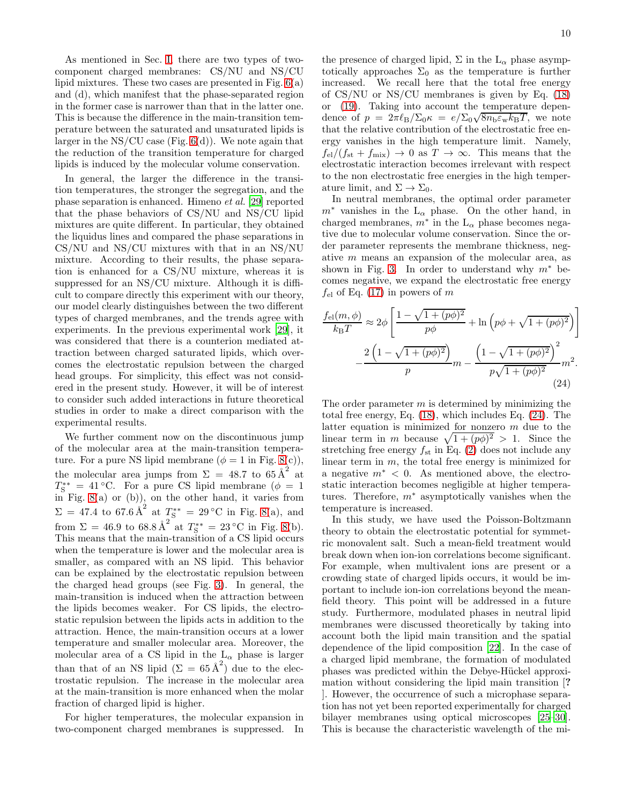As mentioned in Sec. [I,](#page-0-1) there are two types of twocomponent charged membranes: CS/NU and NS/CU lipid mixtures. These two cases are presented in Fig. [6\(](#page-6-0)a) and (d), which manifest that the phase-separated region in the former case is narrower than that in the latter one. This is because the difference in the main-transition temperature between the saturated and unsaturated lipids is larger in the  $NS/CU$  case (Fig.  $6(d)$ ). We note again that the reduction of the transition temperature for charged lipids is induced by the molecular volume conservation.

In general, the larger the difference in the transition temperatures, the stronger the segregation, and the phase separation is enhanced. Himeno et al. [\[29](#page-11-10)] reported that the phase behaviors of CS/NU and NS/CU lipid mixtures are quite different. In particular, they obtained the liquidus lines and compared the phase separations in CS/NU and NS/CU mixtures with that in an NS/NU mixture. According to their results, the phase separation is enhanced for a CS/NU mixture, whereas it is suppressed for an NS/CU mixture. Although it is difficult to compare directly this experiment with our theory, our model clearly distinguishes between the two different types of charged membranes, and the trends agree with experiments. In the previous experimental work [\[29](#page-11-10)], it was considered that there is a counterion mediated attraction between charged saturated lipids, which overcomes the electrostatic repulsion between the charged head groups. For simplicity, this effect was not considered in the present study. However, it will be of interest to consider such added interactions in future theoretical studies in order to make a direct comparison with the experimental results.

We further comment now on the discontinuous jump of the molecular area at the main-transition temperature. For a pure NS lipid membrane ( $\phi = 1$  in Fig. [8\(](#page-8-1)c)), the molecular area jumps from  $\Sigma = 48.7$  to  $65 \text{\AA}^2$  at  $T_{\rm S}^{**} = 41$  °C. For a pure CS lipid membrane ( $\phi = 1$  $\overline{in}$  Fig. [8\(](#page-8-1)a) or (b)), on the other hand, it varies from  $\Sigma = 47.4$  to 67.6  $\AA^2$  at  $T_S^{**} = 29 \degree \text{C}$  in Fig. [8\(](#page-8-1)a), and from  $\Sigma = 46.9$  to  $68.8 \text{ Å}^2$  at  $T_s^{**} = 23 \text{ °C}$  in Fig. [8\(](#page-8-1)b). This means that the main-transition of a CS lipid occurs when the temperature is lower and the molecular area is smaller, as compared with an NS lipid. This behavior can be explained by the electrostatic repulsion between the charged head groups (see Fig. [3\)](#page-3-2). In general, the main-transition is induced when the attraction between the lipids becomes weaker. For CS lipids, the electrostatic repulsion between the lipids acts in addition to the attraction. Hence, the main-transition occurs at a lower temperature and smaller molecular area. Moreover, the molecular area of a CS lipid in the  $L_{\alpha}$  phase is larger than that of an NS lipid  $(\Sigma = 65 \text{ Å}^2)$  due to the electrostatic repulsion. The increase in the molecular area at the main-transition is more enhanced when the molar fraction of charged lipid is higher.

For higher temperatures, the molecular expansion in two-component charged membranes is suppressed. In

the presence of charged lipid,  $\Sigma$  in the  $L_{\alpha}$  phase asymptotically approaches  $\Sigma_0$  as the temperature is further increased. We recall here that the total free energy of CS/NU or NS/CU membranes is given by Eq. [\(18\)](#page-3-6) or [\(19\)](#page-3-7). Taking into account the temperature dependence of  $p = 2\pi \ell_B/\Sigma_0 \kappa = e/\Sigma_0 \sqrt{8n_b \varepsilon_w k_B T}$ , we note that the relative contribution of the electrostatic free energy vanishes in the high temperature limit. Namely,  $f_{\rm el}/(f_{\rm st} + f_{\rm mix}) \rightarrow 0$  as  $T \rightarrow \infty$ . This means that the electrostatic interaction becomes irrelevant with respect to the non electrostatic free energies in the high temperature limit, and  $\Sigma \to \Sigma_0$ .

In neutral membranes, the optimal order parameter  $m^*$  vanishes in the L<sub>α</sub> phase. On the other hand, in charged membranes,  $m^*$  in the L<sub>α</sub> phase becomes negative due to molecular volume conservation. Since the order parameter represents the membrane thickness, negative m means an expansion of the molecular area, as shown in Fig. [3.](#page-3-2) In order to understand why  $m^*$  becomes negative, we expand the electrostatic free energy  $f_{el}$  of Eq. [\(17\)](#page-3-8) in powers of m

$$
\frac{f_{\text{el}}(m,\phi)}{k_{\text{B}}T} \approx 2\phi \left[ \frac{1 - \sqrt{1 + (p\phi)^2}}{p\phi} + \ln \left( p\phi + \sqrt{1 + (p\phi)^2} \right) \right]
$$

$$
- \frac{2\left(1 - \sqrt{1 + (p\phi)^2}\right)}{p} m - \frac{\left(1 - \sqrt{1 + (p\phi)^2}\right)^2}{p\sqrt{1 + (p\phi)^2}} m^2.
$$
(24)

<span id="page-9-0"></span>The order parameter  $m$  is determined by minimizing the total free energy, Eq. [\(18\)](#page-3-6), which includes Eq. [\(24\)](#page-9-0). The latter equation is minimized for nonzero  $m$  due to the linear term in m because  $\sqrt{1 + (p\phi)^2} > 1$ . Since the stretching free energy  $f_{st}$  in Eq. [\(2\)](#page-1-1) does not include any linear term in  $m$ , the total free energy is minimized for a negative  $m^*$  < 0. As mentioned above, the electrostatic interaction becomes negligible at higher temperatures. Therefore,  $m^*$  asymptotically vanishes when the temperature is increased.

In this study, we have used the Poisson-Boltzmann theory to obtain the electrostatic potential for symmetric monovalent salt. Such a mean-field treatment would break down when ion-ion correlations become significant. For example, when multivalent ions are present or a crowding state of charged lipids occurs, it would be important to include ion-ion correlations beyond the meanfield theory. This point will be addressed in a future study. Furthermore, modulated phases in neutral lipid membranes were discussed theoretically by taking into account both the lipid main transition and the spatial dependence of the lipid composition [\[22\]](#page-11-3). In the case of a charged lipid membrane, the formation of modulated phases was predicted within the Debye-Hückel approximation without considering the lipid main transition [? ]. However, the occurrence of such a microphase separation has not yet been reported experimentally for charged bilayer membranes using optical microscopes [\[25](#page-11-5)[–30\]](#page-11-6). This is because the characteristic wavelength of the mi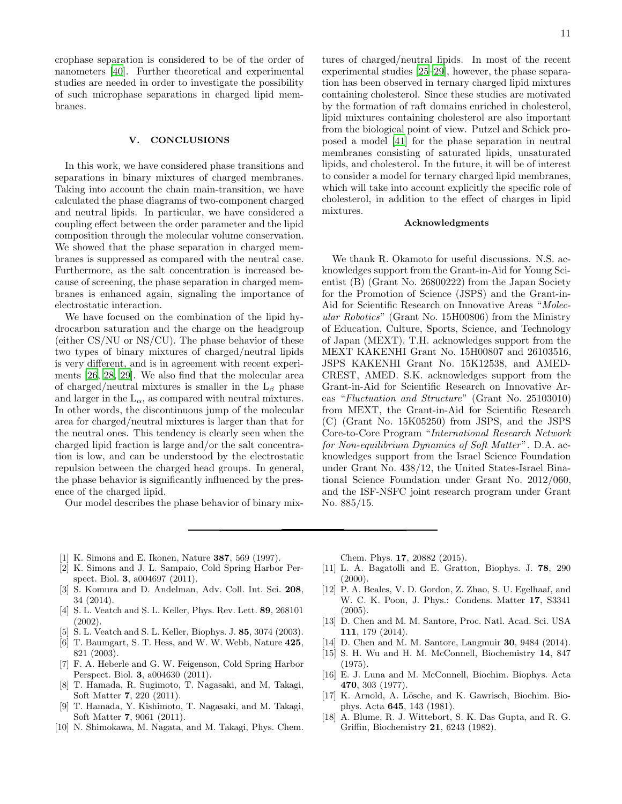crophase separation is considered to be of the order of nanometers [\[40](#page-11-18)]. Further theoretical and experimental studies are needed in order to investigate the possibility of such microphase separations in charged lipid membranes.

# <span id="page-10-8"></span>V. CONCLUSIONS

In this work, we have considered phase transitions and separations in binary mixtures of charged membranes. Taking into account the chain main-transition, we have calculated the phase diagrams of two-component charged and neutral lipids. In particular, we have considered a coupling effect between the order parameter and the lipid composition through the molecular volume conservation. We showed that the phase separation in charged membranes is suppressed as compared with the neutral case. Furthermore, as the salt concentration is increased because of screening, the phase separation in charged membranes is enhanced again, signaling the importance of electrostatic interaction.

We have focused on the combination of the lipid hydrocarbon saturation and the charge on the headgroup (either CS/NU or NS/CU). The phase behavior of these two types of binary mixtures of charged/neutral lipids is very different, and is in agreement with recent experiments [\[26,](#page-11-7) [28](#page-11-19), [29\]](#page-11-10). We also find that the molecular area of charged/neutral mixtures is smaller in the  $L_\beta$  phase and larger in the  $L_{\alpha}$ , as compared with neutral mixtures. In other words, the discontinuous jump of the molecular area for charged/neutral mixtures is larger than that for the neutral ones. This tendency is clearly seen when the charged lipid fraction is large and/or the salt concentration is low, and can be understood by the electrostatic repulsion between the charged head groups. In general, the phase behavior is significantly influenced by the presence of the charged lipid.

Our model describes the phase behavior of binary mix-

tures of charged/neutral lipids. In most of the recent experimental studies [\[25](#page-11-5)[–29](#page-11-10)], however, the phase separation has been observed in ternary charged lipid mixtures containing cholesterol. Since these studies are motivated by the formation of raft domains enriched in cholesterol, lipid mixtures containing cholesterol are also important from the biological point of view. Putzel and Schick proposed a model [\[41\]](#page-11-20) for the phase separation in neutral membranes consisting of saturated lipids, unsaturated lipids, and cholesterol. In the future, it will be of interest to consider a model for ternary charged lipid membranes, which will take into account explicitly the specific role of cholesterol, in addition to the effect of charges in lipid mixtures.

## Acknowledgments

We thank R. Okamoto for useful discussions. N.S. acknowledges support from the Grant-in-Aid for Young Scientist (B) (Grant No. 26800222) from the Japan Society for the Promotion of Science (JSPS) and the Grant-in-Aid for Scientific Research on Innovative Areas "Molecular Robotics" (Grant No. 15H00806) from the Ministry of Education, Culture, Sports, Science, and Technology of Japan (MEXT). T.H. acknowledges support from the MEXT KAKENHI Grant No. 15H00807 and 26103516, JSPS KAKENHI Grant No. 15K12538, and AMED-CREST, AMED. S.K. acknowledges support from the Grant-in-Aid for Scientific Research on Innovative Areas "Fluctuation and Structure" (Grant No. 25103010) from MEXT, the Grant-in-Aid for Scientific Research (C) (Grant No. 15K05250) from JSPS, and the JSPS Core-to-Core Program "International Research Network for Non-equilibrium Dynamics of Soft Matter". D.A. acknowledges support from the Israel Science Foundation under Grant No. 438/12, the United States-Israel Binational Science Foundation under Grant No. 2012/060, and the ISF-NSFC joint research program under Grant No. 885/15.

- <span id="page-10-0"></span>[1] K. Simons and E. Ikonen, Nature 387, 569 (1997).
- <span id="page-10-1"></span>[2] K. Simons and J. L. Sampaio, Cold Spring Harbor Perspect. Biol. 3, a004697 (2011).
- <span id="page-10-2"></span>[3] S. Komura and D. Andelman, Adv. Coll. Int. Sci. 208, 34 (2014).
- <span id="page-10-3"></span>[4] S. L. Veatch and S. L. Keller, Phys. Rev. Lett. 89, 268101 (2002).
- [5] S. L. Veatch and S. L. Keller, Biophys. J. 85, 3074 (2003).
- [6] T. Baumgart, S. T. Hess, and W. W. Webb, Nature 425, 821 (2003).
- [7] F. A. Heberle and G. W. Feigenson, Cold Spring Harbor Perspect. Biol. 3, a004630 (2011).
- [8] T. Hamada, R. Sugimoto, T. Nagasaki, and M. Takagi, Soft Matter 7, 220 (2011).
- [9] T. Hamada, Y. Kishimoto, T. Nagasaki, and M. Takagi, Soft Matter 7, 9061 (2011).
- <span id="page-10-4"></span>[10] N. Shimokawa, M. Nagata, and M. Takagi, Phys. Chem.

Chem. Phys. 17, 20882 (2015).

- <span id="page-10-5"></span>[11] L. A. Bagatolli and E. Gratton, Biophys. J. 78, 290  $(2000).$
- [12] P. A. Beales, V. D. Gordon, Z. Zhao, S. U. Egelhaaf, and W. C. K. Poon, J. Phys.: Condens. Matter 17, S3341 (2005).
- [13] D. Chen and M. M. Santore, Proc. Natl. Acad. Sci. USA 111, 179 (2014).
- <span id="page-10-6"></span>[14] D. Chen and M. M. Santore, Langmuir **30**, 9484 (2014).
- [15] S. H. Wu and H. M. McConnell, Biochemistry 14, 847 (1975).
- <span id="page-10-9"></span>[16] E. J. Luna and M. McConnell, Biochim. Biophys. Acta 470, 303 (1977).
- [17] K. Arnold, A. Lösche, and K. Gawrisch, Biochim. Biophys. Acta 645, 143 (1981).
- <span id="page-10-7"></span>[18] A. Blume, R. J. Wittebort, S. K. Das Gupta, and R. G. Griffin, Biochemistry 21, 6243 (1982).